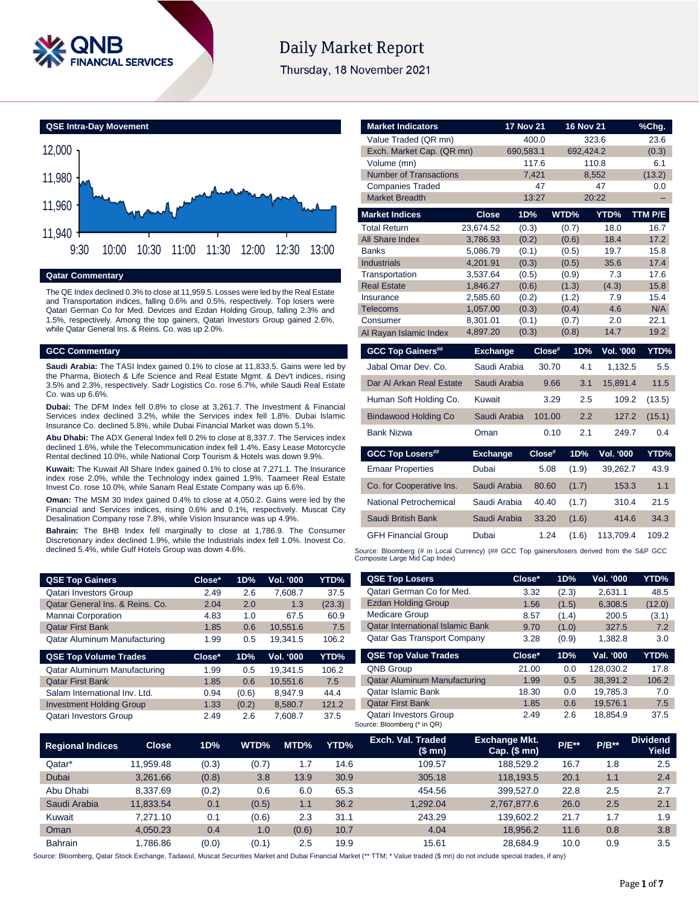

# **Daily Market Report**

Thursday, 18 November 2021



## **Qatar Commentary**

The QE Index declined 0.3% to close at 11,959.5. Losses were led by the Real Estate and Transportation indices, falling 0.6% and 0.5%, respectively. Top losers were Qatari German Co for Med. Devices and Ezdan Holding Group, falling 2.3% and 1.5%, respectively. Among the top gainers, Qatari Investors Group gained 2.6%, while Qatar General Ins. & Reins. Co. was up 2.0%.

#### **GCC Commentary**

**Saudi Arabia:** The TASI Index gained 0.1% to close at 11,833.5. Gains were led by the Pharma, Biotech & Life Science and Real Estate Mgmt. & Dev't indices, rising 3.5% and 2.3%, respectively. Sadr Logistics Co. rose 6.7%, while Saudi Real Estate Co. was up 6.6%.

**Dubai:** The DFM Index fell 0.8% to close at 3,261.7. The Investment & Financial Services index declined 3.2%, while the Services index fell 1.8%. Dubai Islamic Insurance Co. declined 5.8%, while Dubai Financial Market was down 5.1%.

**Abu Dhabi:** The ADX General Index fell 0.2% to close at 8,337.7. The Services index declined 1.6%, while the Telecommunication index fell 1.4%. Easy Lease Motorcycle Rental declined 10.0%, while National Corp Tourism & Hotels was down 9.9%.

**Kuwait:** The Kuwait All Share Index gained 0.1% to close at 7,271.1. The Insurance index rose 2.0%, while the Technology index gained 1.9%. Taameer Real Estate Invest Co. rose 10.0%, while Sanam Real Estate Company was up 6.6%.

**Oman:** The MSM 30 Index gained 0.4% to close at 4,050.2. Gains were led by the Financial and Services indices, rising 0.6% and 0.1%, respectively. Muscat City Desalination Company rose 7.8%, while Vision Insurance was up 4.9%.

**Bahrain:** The BHB Index fell marginally to close at 1,786.9. The Consumer Discretionary index declined 1.9%, while the Industrials index fell 1.0%. Inovest Co. declined 5.4%, while Gulf Hotels Group was down 4.6%.

| <b>QSE Top Gainers</b>          | Close* | 1D% | <b>Vol. '000</b> | YTD%   |
|---------------------------------|--------|-----|------------------|--------|
| <b>Qatari Investors Group</b>   | 2.49   | 2.6 | 7,608.7          | 37.5   |
| Qatar General Ins. & Reins. Co. | 2.04   | 2.0 | 1.3              | (23.3) |
| Mannai Corporation              | 4.83   | 1.0 | 67.5             | 60.9   |
| <b>Qatar First Bank</b>         | 1.85   | 0.6 | 10.551.6         | 7.5    |
| Qatar Aluminum Manufacturing    | 1.99   | 0.5 | 19.341.5         | 106.2  |

| <b>QSE Top Volume Trades</b>    | Close* | 1D%   | <b>Vol. '000</b> | YTD%  |
|---------------------------------|--------|-------|------------------|-------|
| Qatar Aluminum Manufacturing    | 1.99   | 0.5   | 19.341.5         | 106.2 |
| <b>Qatar First Bank</b>         | 1.85   | 0.6   | 10.551.6         | 7.5   |
| Salam International Inv. Ltd.   | 0.94   | (0.6) | 8.947.9          | 44.4  |
| <b>Investment Holding Group</b> | 1.33   | (0.2) | 8,580.7          | 121.2 |
| <b>Qatari Investors Group</b>   | 2.49   | 2.6   | 7.608.7          | 37.5  |

| <b>Market Indicators</b>        |                          | <b>17 Nov 21</b> |                | <b>16 Nov 21</b> | %Chg.        |
|---------------------------------|--------------------------|------------------|----------------|------------------|--------------|
| Value Traded (QR mn)            |                          | 400.0            |                | 323.6            | 23.6         |
| Exch. Market Cap. (QR mn)       |                          | 690,583.1        |                | 692.424.2        | (0.3)        |
| Volume (mn)                     |                          | 117.6            |                | 110.8            | 6.1          |
| <b>Number of Transactions</b>   |                          | 7,421            |                | 8,552            | (13.2)       |
| <b>Companies Traded</b>         |                          | 47               |                | 47               | 0.0          |
| <b>Market Breadth</b>           |                          | 13:27            |                | 20:22            |              |
| <b>Market Indices</b>           | <b>Close</b>             | 1D%              | WTD%           | YTD%             | TTM P/E      |
| <b>Total Return</b>             | 23,674.52                | (0.3)            | (0.7)          | 18.0             | 16.7         |
| All Share Index                 | 3,786.93                 | (0.2)            | (0.6)          | 18.4             | 17.2         |
| <b>Banks</b>                    | 5,086.79                 | (0.1)            | (0.5)          | 19.7             | 15.8         |
| <b>Industrials</b>              | 4,201.91                 | (0.3)            | (0.5)          | 35.6             | 17.4         |
| Transportation                  | 3,537.64                 | (0.5)            | (0.9)          | 7.3              | 17.6         |
| <b>Real Estate</b><br>Insurance | 1,846.27<br>2,585.60     | (0.6)<br>(0.2)   | (1.3)<br>(1.2) | (4.3)<br>7.9     | 15.8<br>15.4 |
| Telecoms                        | 1,057.00                 | (0.3)            | (0.4)          | 4.6              | N/A          |
| Consumer                        | 8,301.01                 | (0.1)            | (0.7)          | 2.0              | 22.1         |
| Al Rayan Islamic Index          | 4,897.20                 | (0.3)            | (0.8)          | 14.7             | 19.2         |
|                                 |                          |                  |                |                  |              |
|                                 |                          |                  |                |                  |              |
| <b>GCC Top Gainers##</b>        | <b>Exchange</b>          |                  | Close#<br>1D%  | <b>Vol. '000</b> |              |
| Jabal Omar Dev. Co.             | Saudi Arabia             |                  | 30.70          | 4.1<br>1,132.5   | 5.5          |
| Dar Al Arkan Real Estate        | Saudi Arabia             |                  | 9.66           | 15,891.4<br>3.1  | 11.5         |
| Human Soft Holding Co.          | Kuwait                   |                  | 3.29           | $2.5\,$<br>109.2 | (13.5)       |
| <b>Bindawood Holding Co</b>     | Saudi Arabia             |                  | 101.00         | 2.2<br>127.2     | (15.1)       |
| <b>Bank Nizwa</b>               | Oman                     |                  | 0.10           | 2.1<br>249.7     | YTD%<br>0.4  |
|                                 |                          |                  |                |                  |              |
| <b>GCC Top Losers##</b>         | <b>Exchange</b><br>Dubai | Close#           | 1D%<br>5.08    | <b>Vol. '000</b> | 43.9         |
| <b>Emaar Properties</b>         |                          |                  | (1.9)          | 39,262.7         |              |
| Co. for Cooperative Ins.        | Saudi Arabia             |                  | 80.60<br>(1.7) | 153.3            | YTD%<br>1.1  |
| National Petrochemical          | Saudi Arabia             |                  | 40.40<br>(1.7) | 310.4            | 21.5         |
| Saudi British Bank              | Saudi Arabia             |                  | 33.20<br>(1.6) | 414.6            | 34.3         |
| <b>GFH Financial Group</b>      | Dubai                    |                  | 1.24<br>(1.6)  | 113,709.4        | 109.2        |

| <b>QSE Top Losers</b>                   | Close* | 1D%   | <b>Vol. '000</b> | YTD%   |
|-----------------------------------------|--------|-------|------------------|--------|
| Qatari German Co for Med.               | 3.32   | (2.3) | 2,631.1          | 48.5   |
| <b>Ezdan Holding Group</b>              | 1.56   | (1.5) | 6,308.5          | (12.0) |
| <b>Medicare Group</b>                   | 8.57   | (1.4) | 200.5            | (3.1)  |
| <b>Qatar International Islamic Bank</b> | 9.70   | (1.0) | 327.5            | 7.2    |
| <b>Qatar Gas Transport Company</b>      | 3.28   | (0.9) | 1,382.8          | 3.0    |
| <b>QSE Top Value Trades</b>             | Close* | 1D%   | Val. '000        | YTD%   |
| <b>QNB Group</b>                        | 21.00  | 0.0   | 128,030.2        | 17.8   |
| <b>Qatar Aluminum Manufacturing</b>     | 1.99   | 0.5   | 38,391.2         | 106.2  |
| <b>Qatar Islamic Bank</b>               | 18.30  | 0.0   | 19,785.3         | 7.0    |
| <b>Qatar First Bank</b>                 | 1.85   | 0.6   | 19.576.1         | 7.5    |

Qatari Investors Group 2.49 2.6 18,854.9 37.5

| <b>Regional Indices</b> | <b>Close</b> | 1D%   | WTD%  | MTD%  | YTD% | Exch. Val. Traded<br>(\$mn) | <b>Exchange Mkt.</b><br>$Cap.$ (\$ mn) | <b>P/E**</b> | $P/B**$ | <b>Dividend</b><br>Yield |
|-------------------------|--------------|-------|-------|-------|------|-----------------------------|----------------------------------------|--------------|---------|--------------------------|
| Qatar*                  | 11.959.48    | (0.3) | (0.7) | 1.7   | 14.6 | 109.57                      | 188.529.2                              | 16.7         | 1.8     | 2.5                      |
| Dubai                   | 3.261.66     | (0.8) | 3.8   | 13.9  | 30.9 | 305.18                      | 118.193.5                              | 20.1         | 1.1     | 2.4                      |
| Abu Dhabi               | 8.337.69     | (0.2) | 0.6   | 6.0   | 65.3 | 454.56                      | 399.527.0                              | 22.8         | 2.5     | 2.7                      |
| Saudi Arabia            | 11.833.54    | 0.1   | (0.5) | 1.1   | 36.2 | 1.292.04                    | 2.767.877.6                            | 26.0         | 2.5     | 2.1                      |
| Kuwait                  | 7.271.10     | 0.1   | (0.6) | 2.3   | 31.1 | 243.29                      | 139.602.2                              | 21.7         | 1.7     | 1.9                      |
| Oman                    | 4.050.23     | 0.4   | 1.0   | (0.6) | 10.7 | 4.04                        | 18.956.2                               | 11.6         | 0.8     | 3.8                      |
| <b>Bahrain</b>          | .786.86      | (0.0) | (0.1) | 2.5   | 19.9 | 15.61                       | 28.684.9                               | 10.0         | 0.9     | 3.5                      |

Source: Bloomberg (\* in QR)

Source: Bloomberg, Qatar Stock Exchange, Tadawul, Muscat Securities Market and Dubai Financial Market (\*\* TTM; \* Value traded (\$ mn) do not include special trades, if any)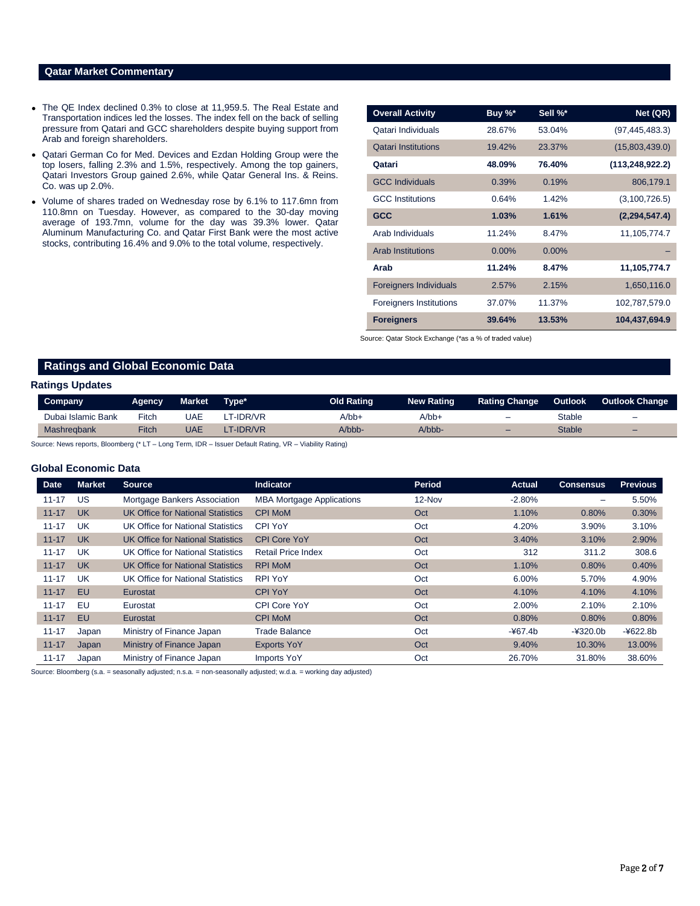## **Qatar Market Commentary**

- The QE Index declined 0.3% to close at 11,959.5. The Real Estate and Transportation indices led the losses. The index fell on the back of selling pressure from Qatari and GCC shareholders despite buying support from Arab and foreign shareholders.
- Qatari German Co for Med. Devices and Ezdan Holding Group were the top losers, falling 2.3% and 1.5%, respectively. Among the top gainers, Qatari Investors Group gained 2.6%, while Qatar General Ins. & Reins. Co. was up 2.0%.
- Volume of shares traded on Wednesday rose by 6.1% to 117.6mn from 110.8mn on Tuesday. However, as compared to the 30-day moving average of 193.7mn, volume for the day was 39.3% lower. Qatar Aluminum Manufacturing Co. and Qatar First Bank were the most active stocks, contributing 16.4% and 9.0% to the total volume, respectively.

| <b>Overall Activity</b>        | Buy %*   | Sell %*  | Net (QR)          |
|--------------------------------|----------|----------|-------------------|
| Qatari Individuals             | 28.67%   | 53.04%   | (97, 445, 483.3)  |
| <b>Qatari Institutions</b>     | 19.42%   | 23.37%   | (15,803,439.0)    |
| Qatari                         | 48.09%   | 76.40%   | (113, 248, 922.2) |
| <b>GCC Individuals</b>         | 0.39%    | 0.19%    | 806,179.1         |
| <b>GCC</b> Institutions        | 0.64%    | 1.42%    | (3,100,726.5)     |
| <b>GCC</b>                     | 1.03%    | 1.61%    | (2, 294, 547.4)   |
| Arab Individuals               | 11.24%   | 8.47%    | 11,105,774.7      |
| <b>Arab Institutions</b>       | $0.00\%$ | $0.00\%$ |                   |
| Arab                           | 11.24%   | 8.47%    | 11,105,774.7      |
| <b>Foreigners Individuals</b>  | 2.57%    | 2.15%    | 1,650,116.0       |
| <b>Foreigners Institutions</b> | 37.07%   | 11.37%   | 102,787,579.0     |
| <b>Foreigners</b>              | 39.64%   | 13.53%   | 104,437,694.9     |

Source: Qatar Stock Exchange (\*as a % of traded value)

## **Ratings and Global Economic Data**

#### **Ratings Updates**

| Company            | Agency | Market | Type*    | Old Rating | <b>New Rating</b> | <b>Rating Change</b>     | <b>Outlook</b> | <b>Outlook Change</b>    |
|--------------------|--------|--------|----------|------------|-------------------|--------------------------|----------------|--------------------------|
| Dubai Islamic Bank | Fitch  | UAE    | T-IDR/VR | A/bb+      | $A/bb+$           | $\overline{\phantom{0}}$ | Stable         | $\overline{\phantom{0}}$ |
| Mashregbank        | Fitch  | UAE    | T-IDR/VR | A/bbb-     | $A/bbb-$          | $\overline{\phantom{0}}$ | <b>Stable</b>  | $\overline{\phantom{0}}$ |

Source: News reports, Bloomberg (\* LT – Long Term, IDR – Issuer Default Rating, VR – Viability Rating)

### **Global Economic Data**

| <b>Date</b> | <b>Market</b> | <b>Source</b>                            | <b>Indicator</b>                 | Period | <b>Actual</b> | <b>Consensus</b>         | <b>Previous</b> |
|-------------|---------------|------------------------------------------|----------------------------------|--------|---------------|--------------------------|-----------------|
| $11 - 17$   | US            | Mortgage Bankers Association             | <b>MBA Mortgage Applications</b> | 12-Nov | $-2.80%$      | $\overline{\phantom{0}}$ | 5.50%           |
| $11 - 17$   | <b>UK</b>     | UK Office for National Statistics        | <b>CPI MoM</b>                   | Oct    | 1.10%         | 0.80%                    | 0.30%           |
| $11 - 17$   | <b>UK</b>     | UK Office for National Statistics        | <b>CPI YoY</b>                   | Oct    | 4.20%         | 3.90%                    | 3.10%           |
| $11 - 17$   | <b>UK</b>     | <b>UK Office for National Statistics</b> | <b>CPI Core YoY</b>              | Oct    | 3.40%         | 3.10%                    | 2.90%           |
| $11 - 17$   | UK            | UK Office for National Statistics        | <b>Retail Price Index</b>        | Oct    | 312           | 311.2                    | 308.6           |
| $11 - 17$   | <b>UK</b>     | <b>UK Office for National Statistics</b> | <b>RPI MoM</b>                   | Oct    | 1.10%         | 0.80%                    | 0.40%           |
| $11 - 17$   | UK            | UK Office for National Statistics        | <b>RPI YoY</b>                   | Oct    | 6.00%         | 5.70%                    | 4.90%           |
| $11 - 17$   | EU            | Eurostat                                 | <b>CPI YoY</b>                   | Oct    | 4.10%         | 4.10%                    | 4.10%           |
| $11 - 17$   | EU            | Eurostat                                 | CPI Core YoY                     | Oct    | 2.00%         | 2.10%                    | 2.10%           |
| $11 - 17$   | <b>EU</b>     | Eurostat                                 | <b>CPI MoM</b>                   | Oct    | 0.80%         | 0.80%                    | 0.80%           |
| $11 - 17$   | Japan         | Ministry of Finance Japan                | Trade Balance                    | Oct    | $-467.4b$     | $-4320.0b$               | $-4622.8b$      |
| $11 - 17$   | Japan         | Ministry of Finance Japan                | <b>Exports YoY</b>               | Oct    | 9.40%         | 10.30%                   | 13.00%          |
| $11 - 17$   | Japan         | Ministry of Finance Japan                | Imports YoY                      | Oct    | 26.70%        | 31.80%                   | 38.60%          |

Source: Bloomberg (s.a. = seasonally adjusted; n.s.a. = non-seasonally adjusted; w.d.a. = working day adjusted)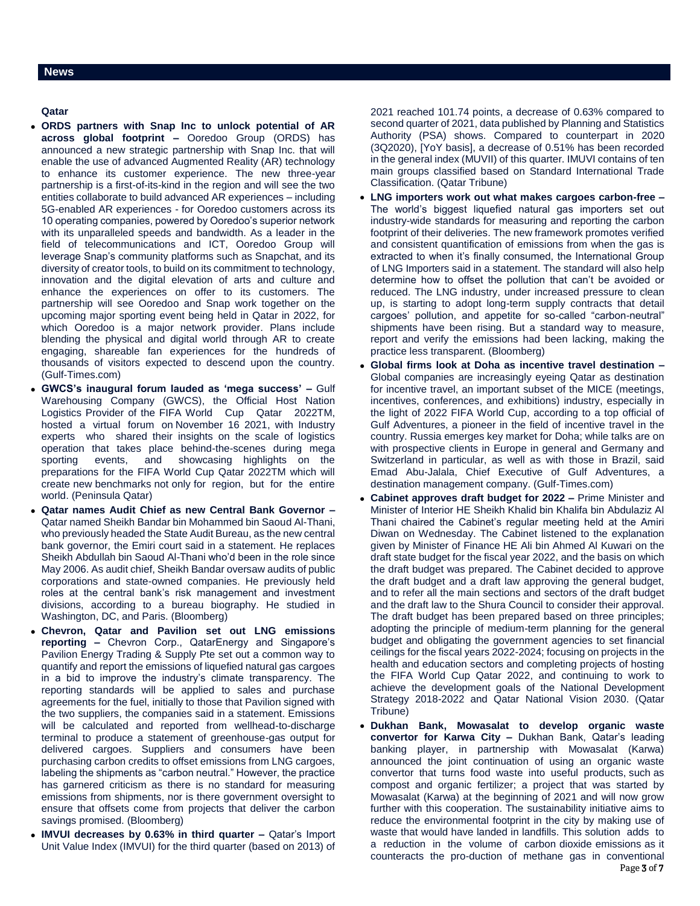## **Qatar**

- **ORDS partners with Snap Inc to unlock potential of AR across global footprint –** Ooredoo Group (ORDS) has announced a new strategic partnership with Snap Inc. that will enable the use of advanced Augmented Reality (AR) technology to enhance its customer experience. The new three-year partnership is a first-of-its-kind in the region and will see the two entities collaborate to build advanced AR experiences – including 5G-enabled AR experiences - for Ooredoo customers across its 10 operating companies, powered by Ooredoo's superior network with its unparalleled speeds and bandwidth. As a leader in the field of telecommunications and ICT, Ooredoo Group will leverage Snap's community platforms such as Snapchat, and its diversity of creator tools, to build on its commitment to technology, innovation and the digital elevation of arts and culture and enhance the experiences on offer to its customers. The partnership will see Ooredoo and Snap work together on the upcoming major sporting event being held in Qatar in 2022, for which Ooredoo is a major network provider. Plans include blending the physical and digital world through AR to create engaging, shareable fan experiences for the hundreds of thousands of visitors expected to descend upon the country. (Gulf-Times.com)
- **GWCS's inaugural forum lauded as 'mega success' –** Gulf Warehousing Company (GWCS), the Official Host Nation Logistics Provider of the FIFA World Cup Qatar 2022TM, hosted a virtual forum on November 16 2021, with Industry experts who shared their insights on the scale of logistics operation that takes place behind-the-scenes during mega sporting events, and showcasing highlights on the preparations for the FIFA World Cup Qatar 2022TM which will create new benchmarks not only for region, but for the entire world. (Peninsula Qatar)
- **Qatar names Audit Chief as new Central Bank Governor –** Qatar named Sheikh Bandar bin Mohammed bin Saoud Al-Thani, who previously headed the State Audit Bureau, as the new central bank governor, the Emiri court said in a statement. He replaces Sheikh Abdullah bin Saoud Al-Thani who'd been in the role since May 2006. As audit chief, Sheikh Bandar oversaw audits of public corporations and state-owned companies. He previously held roles at the central bank's risk management and investment divisions, according to a bureau biography. He studied in Washington, DC, and Paris. (Bloomberg)
- **Chevron, Qatar and Pavilion set out LNG emissions reporting –** Chevron Corp., QatarEnergy and Singapore's Pavilion Energy Trading & Supply Pte set out a common way to quantify and report the emissions of liquefied natural gas cargoes in a bid to improve the industry's climate transparency. The reporting standards will be applied to sales and purchase agreements for the fuel, initially to those that Pavilion signed with the two suppliers, the companies said in a statement. Emissions will be calculated and reported from wellhead-to-discharge terminal to produce a statement of greenhouse-gas output for delivered cargoes. Suppliers and consumers have been purchasing carbon credits to offset emissions from LNG cargoes, labeling the shipments as "carbon neutral." However, the practice has garnered criticism as there is no standard for measuring emissions from shipments, nor is there government oversight to ensure that offsets come from projects that deliver the carbon savings promised. (Bloomberg)
- **IMVUI decreases by 0.63% in third quarter –** Qatar's Import Unit Value Index (IMVUI) for the third quarter (based on 2013) of

2021 reached 101.74 points, a decrease of 0.63% compared to second quarter of 2021, data published by Planning and Statistics Authority (PSA) shows. Compared to counterpart in 2020 (3Q2020), [YoY basis], a decrease of 0.51% has been recorded in the general index (MUVII) of this quarter. IMUVI contains of ten main groups classified based on Standard International Trade Classification. (Qatar Tribune)

- **LNG importers work out what makes cargoes carbon-free –** The world's biggest liquefied natural gas importers set out industry-wide standards for measuring and reporting the carbon footprint of their deliveries. The new framework promotes verified and consistent quantification of emissions from when the gas is extracted to when it's finally consumed, the International Group of LNG Importers said in a statement. The standard will also help determine how to offset the pollution that can't be avoided or reduced. The LNG industry, under increased pressure to clean up, is starting to adopt long-term supply contracts that detail cargoes' pollution, and appetite for so-called "carbon-neutral" shipments have been rising. But a standard way to measure, report and verify the emissions had been lacking, making the practice less transparent. (Bloomberg)
- **Global firms look at Doha as incentive travel destination –** Global companies are increasingly eyeing Qatar as destination for incentive travel, an important subset of the MICE (meetings, incentives, conferences, and exhibitions) industry, especially in the light of 2022 FIFA World Cup, according to a top official of Gulf Adventures, a pioneer in the field of incentive travel in the country. Russia emerges key market for Doha; while talks are on with prospective clients in Europe in general and Germany and Switzerland in particular, as well as with those in Brazil, said Emad Abu-Jalala, Chief Executive of Gulf Adventures, a destination management company. (Gulf-Times.com)
- **Cabinet approves draft budget for 2022 –** Prime Minister and Minister of Interior HE Sheikh Khalid bin Khalifa bin Abdulaziz Al Thani chaired the Cabinet's regular meeting held at the Amiri Diwan on Wednesday. The Cabinet listened to the explanation given by Minister of Finance HE Ali bin Ahmed Al Kuwari on the draft state budget for the fiscal year 2022, and the basis on which the draft budget was prepared. The Cabinet decided to approve the draft budget and a draft law approving the general budget, and to refer all the main sections and sectors of the draft budget and the draft law to the Shura Council to consider their approval. The draft budget has been prepared based on three principles; adopting the principle of medium-term planning for the general budget and obligating the government agencies to set financial ceilings for the fiscal years 2022-2024; focusing on projects in the health and education sectors and completing projects of hosting the FIFA World Cup Qatar 2022, and continuing to work to achieve the development goals of the National Development Strategy 2018-2022 and Qatar National Vision 2030. (Qatar Tribune)
- **Dukhan Bank, Mowasalat to develop organic waste convertor for Karwa City –** Dukhan Bank, Qatar's leading banking player, in partnership with Mowasalat (Karwa) announced the joint continuation of using an organic waste convertor that turns food waste into useful products, such as compost and organic fertilizer; a project that was started by Mowasalat (Karwa) at the beginning of 2021 and will now grow further with this cooperation. The sustainability initiative aims to reduce the environmental footprint in the city by making use of waste that would have landed in landfills. This solution adds to a reduction in the volume of carbon dioxide emissions as it counteracts the pro-duction of methane gas in conventional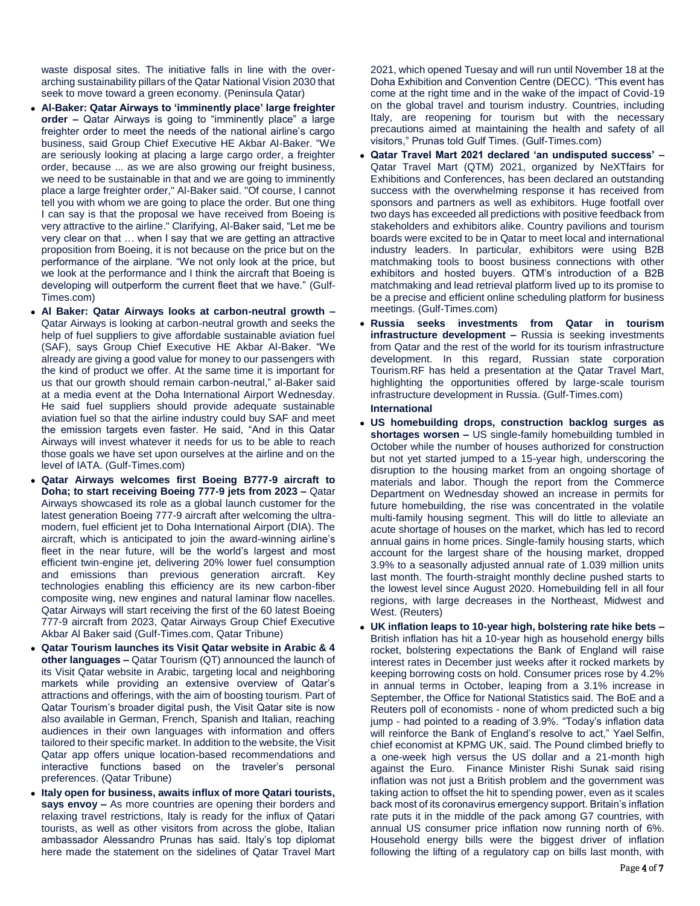waste disposal sites. The initiative falls in line with the overarching sustainability pillars of the Qatar National Vision 2030 that seek to move toward a green economy. (Peninsula Qatar)

- **Al-Baker: Qatar Airways to 'imminently place' large freighter order –** Qatar Airways is going to "imminently place" a large freighter order to meet the needs of the national airline's cargo business, said Group Chief Executive HE Akbar Al-Baker. "We are seriously looking at placing a large cargo order, a freighter order, because ... as we are also growing our freight business, we need to be sustainable in that and we are going to imminently place a large freighter order," Al-Baker said. "Of course, I cannot tell you with whom we are going to place the order. But one thing I can say is that the proposal we have received from Boeing is very attractive to the airline." Clarifying, Al-Baker said, "Let me be very clear on that … when I say that we are getting an attractive proposition from Boeing, it is not because on the price but on the performance of the airplane. "We not only look at the price, but we look at the performance and I think the aircraft that Boeing is developing will outperform the current fleet that we have." (Gulf-Times.com)
- **Al Baker: Qatar Airways looks at carbon-neutral growth –** Qatar Airways is looking at carbon-neutral growth and seeks the help of fuel suppliers to give affordable sustainable aviation fuel (SAF), says Group Chief Executive HE Akbar Al-Baker. "We already are giving a good value for money to our passengers with the kind of product we offer. At the same time it is important for us that our growth should remain carbon-neutral," al-Baker said at a media event at the Doha International Airport Wednesday. He said fuel suppliers should provide adequate sustainable aviation fuel so that the airline industry could buy SAF and meet the emission targets even faster. He said, "And in this Qatar Airways will invest whatever it needs for us to be able to reach those goals we have set upon ourselves at the airline and on the level of IATA. (Gulf-Times.com)
- **Qatar Airways welcomes first Boeing B777-9 aircraft to Doha; to start receiving Boeing 777-9 jets from 2023 –** Qatar Airways showcased its role as a global launch customer for the latest generation Boeing 777-9 aircraft after welcoming the ultramodern, fuel efficient jet to Doha International Airport (DIA). The aircraft, which is anticipated to join the award-winning airline's fleet in the near future, will be the world's largest and most efficient twin-engine jet, delivering 20% lower fuel consumption and emissions than previous generation aircraft. Key technologies enabling this efficiency are its new carbon-fiber composite wing, new engines and natural laminar flow nacelles. Qatar Airways will start receiving the first of the 60 latest Boeing 777-9 aircraft from 2023, Qatar Airways Group Chief Executive Akbar Al Baker said (Gulf-Times.com, Qatar Tribune)
- **Qatar Tourism launches its Visit Qatar website in Arabic & 4 other languages –** Qatar Tourism (QT) announced the launch of its Visit Qatar website in Arabic, targeting local and neighboring markets while providing an extensive overview of Qatar's attractions and offerings, with the aim of boosting tourism. Part of Qatar Tourism's broader digital push, the Visit Qatar site is now also available in German, French, Spanish and Italian, reaching audiences in their own languages with information and offers tailored to their specific market. In addition to the website, the Visit Qatar app offers unique location-based recommendations and interactive functions based on the traveler's personal preferences. (Qatar Tribune)
- **Italy open for business, awaits influx of more Qatari tourists, says envoy –** As more countries are opening their borders and relaxing travel restrictions, Italy is ready for the influx of Qatari tourists, as well as other visitors from across the globe, Italian ambassador Alessandro Prunas has said. Italy's top diplomat here made the statement on the sidelines of Qatar Travel Mart

2021, which opened Tuesay and will run until November 18 at the Doha Exhibition and Convention Centre (DECC). "This event has come at the right time and in the wake of the impact of Covid-19 on the global travel and tourism industry. Countries, including Italy, are reopening for tourism but with the necessary precautions aimed at maintaining the health and safety of all visitors," Prunas told Gulf Times. (Gulf-Times.com)

- **Qatar Travel Mart 2021 declared 'an undisputed success' –** Qatar Travel Mart (QTM) 2021, organized by NeXTfairs for Exhibitions and Conferences, has been declared an outstanding success with the overwhelming response it has received from sponsors and partners as well as exhibitors. Huge footfall over two days has exceeded all predictions with positive feedback from stakeholders and exhibitors alike. Country pavilions and tourism boards were excited to be in Qatar to meet local and international industry leaders. In particular, exhibitors were using B2B matchmaking tools to boost business connections with other exhibitors and hosted buyers. QTM's introduction of a B2B matchmaking and lead retrieval platform lived up to its promise to be a precise and efficient online scheduling platform for business meetings. (Gulf-Times.com)
- **Russia seeks investments from Qatar in tourism infrastructure development –** Russia is seeking investments from Qatar and the rest of the world for its tourism infrastructure development. In this regard, Russian state corporation Tourism.RF has held a presentation at the Qatar Travel Mart, highlighting the opportunities offered by large-scale tourism infrastructure development in Russia. (Gulf-Times.com) **International**
- **US homebuilding drops, construction backlog surges as shortages worsen –** US single-family homebuilding tumbled in October while the number of houses authorized for construction but not yet started jumped to a 15-year high, underscoring the disruption to the housing market from an ongoing shortage of materials and labor. Though the report from the Commerce Department on Wednesday showed an increase in permits for future homebuilding, the rise was concentrated in the volatile multi-family housing segment. This will do little to alleviate an acute shortage of houses on the market, which has led to record annual gains in home prices. Single-family housing starts, which account for the largest share of the housing market, dropped 3.9% to a seasonally adjusted annual rate of 1.039 million units last month. The fourth-straight monthly decline pushed starts to the lowest level since August 2020. Homebuilding fell in all four regions, with large decreases in the Northeast, Midwest and West. (Reuters)
- **UK inflation leaps to 10-year high, bolstering rate hike bets –** British inflation has hit a 10-year high as household energy bills rocket, bolstering expectations the Bank of England will raise interest rates in December just weeks after it rocked markets by keeping borrowing costs on hold. Consumer prices rose by 4.2% in annual terms in October, leaping from a 3.1% increase in September, the Office for National Statistics said. The BoE and a Reuters poll of economists - none of whom predicted such a big jump - had pointed to a reading of 3.9%. "Today's inflation data will reinforce the Bank of England's resolve to act," Yael Selfin, chief economist at KPMG UK, said. The Pound climbed briefly to a one-week high versus the US dollar and a 21-month high against the Euro. Finance Minister Rishi Sunak said rising inflation was not just a British problem and the government was taking action to offset the hit to spending power, even as it scales back most of its coronavirus emergency support. Britain's inflation rate puts it in the middle of the pack among G7 countries, with annual US consumer price inflation now running north of 6%. Household energy bills were the biggest driver of inflation following the lifting of a regulatory cap on bills last month, with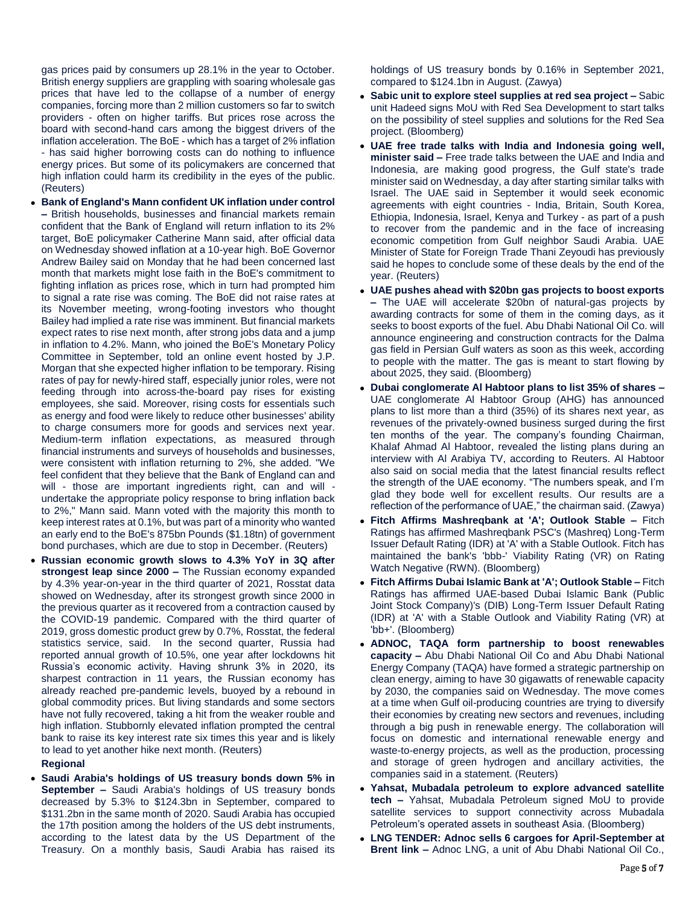gas prices paid by consumers up 28.1% in the year to October. British energy suppliers are grappling with soaring wholesale gas prices that have led to the collapse of a number of energy companies, forcing more than 2 million customers so far to switch providers - often on higher tariffs. But prices rose across the board with second-hand cars among the biggest drivers of the inflation acceleration. The BoE - which has a target of 2% inflation - has said higher borrowing costs can do nothing to influence energy prices. But some of its policymakers are concerned that high inflation could harm its credibility in the eyes of the public. (Reuters)

- **Bank of England's Mann confident UK inflation under control –** British households, businesses and financial markets remain confident that the Bank of England will return inflation to its 2% target, BoE policymaker Catherine Mann said, after official data on Wednesday showed inflation at a 10-year high. BoE Governor Andrew Bailey said on Monday that he had been concerned last month that markets might lose faith in the BoE's commitment to fighting inflation as prices rose, which in turn had prompted him to signal a rate rise was coming. The BoE did not raise rates at its November meeting, wrong-footing investors who thought Bailey had implied a rate rise was imminent. But financial markets expect rates to rise next month, after strong jobs data and a jump in inflation to 4.2%. Mann, who joined the BoE's Monetary Policy Committee in September, told an online event hosted by J.P. Morgan that she expected higher inflation to be temporary. Rising rates of pay for newly-hired staff, especially junior roles, were not feeding through into across-the-board pay rises for existing employees, she said. Moreover, rising costs for essentials such as energy and food were likely to reduce other businesses' ability to charge consumers more for goods and services next year. Medium-term inflation expectations, as measured through financial instruments and surveys of households and businesses, were consistent with inflation returning to 2%, she added. "We feel confident that they believe that the Bank of England can and will - those are important ingredients right, can and will undertake the appropriate policy response to bring inflation back to 2%," Mann said. Mann voted with the majority this month to keep interest rates at 0.1%, but was part of a minority who wanted an early end to the BoE's 875bn Pounds (\$1.18tn) of government bond purchases, which are due to stop in December. (Reuters)
- **Russian economic growth slows to 4.3% YoY in 3Q after strongest leap since 2000 –** The Russian economy expanded by 4.3% year-on-year in the third quarter of 2021, Rosstat data showed on Wednesday, after its strongest growth since 2000 in the previous quarter as it recovered from a contraction caused by the COVID-19 pandemic. Compared with the third quarter of 2019, gross domestic product grew by 0.7%. Rosstat, the federal statistics service, said. In the second quarter, Russia had reported annual growth of 10.5%, one year after lockdowns hit Russia's economic activity. Having shrunk 3% in 2020, its sharpest contraction in 11 years, the Russian economy has already reached pre-pandemic levels, buoyed by a rebound in global commodity prices. But living standards and some sectors have not fully recovered, taking a hit from the weaker rouble and high inflation. Stubbornly elevated inflation prompted the central bank to raise its key interest rate six times this year and is likely to lead to yet another hike next month. (Reuters)

### **Regional**

 **Saudi Arabia's holdings of US treasury bonds down 5% in September –** Saudi Arabia's holdings of US treasury bonds decreased by 5.3% to \$124.3bn in September, compared to \$131.2bn in the same month of 2020. Saudi Arabia has occupied the 17th position among the holders of the US debt instruments, according to the latest data by the US Department of the Treasury. On a monthly basis, Saudi Arabia has raised its

holdings of US treasury bonds by 0.16% in September 2021, compared to \$124.1bn in August. (Zawya)

- **Sabic unit to explore steel supplies at red sea project –** Sabic unit Hadeed signs MoU with Red Sea Development to start talks on the possibility of steel supplies and solutions for the Red Sea project. (Bloomberg)
- **UAE free trade talks with India and Indonesia going well, minister said –** Free trade talks between the UAE and India and Indonesia, are making good progress, the Gulf state's trade minister said on Wednesday, a day after starting similar talks with Israel. The UAE said in September it would seek economic agreements with eight countries - India, Britain, South Korea, Ethiopia, Indonesia, Israel, Kenya and Turkey - as part of a push to recover from the pandemic and in the face of increasing economic competition from Gulf neighbor Saudi Arabia. UAE Minister of State for Foreign Trade Thani Zeyoudi has previously said he hopes to conclude some of these deals by the end of the year. (Reuters)
- **UAE pushes ahead with \$20bn gas projects to boost exports –** The UAE will accelerate \$20bn of natural-gas projects by awarding contracts for some of them in the coming days, as it seeks to boost exports of the fuel. Abu Dhabi National Oil Co. will announce engineering and construction contracts for the Dalma gas field in Persian Gulf waters as soon as this week, according to people with the matter. The gas is meant to start flowing by about 2025, they said. (Bloomberg)
- **Dubai conglomerate Al Habtoor plans to list 35% of shares –** UAE conglomerate Al Habtoor Group (AHG) has announced plans to list more than a third (35%) of its shares next year, as revenues of the privately-owned business surged during the first ten months of the year. The company's founding Chairman, Khalaf Ahmad Al Habtoor, revealed the listing plans during an interview with Al Arabiya TV, according to Reuters. Al Habtoor also said on social media that the latest financial results reflect the strength of the UAE economy. "The numbers speak, and I'm glad they bode well for excellent results. Our results are a reflection of the performance of UAE," the chairman said. (Zawya)
- **Fitch Affirms Mashreqbank at 'A'; Outlook Stable –** Fitch Ratings has affirmed Mashreqbank PSC's (Mashreq) Long-Term Issuer Default Rating (IDR) at 'A' with a Stable Outlook. Fitch has maintained the bank's 'bbb-' Viability Rating (VR) on Rating Watch Negative (RWN). (Bloomberg)
- **Fitch Affirms Dubai Islamic Bank at 'A'; Outlook Stable –** Fitch Ratings has affirmed UAE-based Dubai Islamic Bank (Public Joint Stock Company)'s (DIB) Long-Term Issuer Default Rating (IDR) at 'A' with a Stable Outlook and Viability Rating (VR) at 'bb+'. (Bloomberg)
- **ADNOC, TAQA form partnership to boost renewables capacity –** Abu Dhabi National Oil Co and Abu Dhabi National Energy Company (TAQA) have formed a strategic partnership on clean energy, aiming to have 30 gigawatts of renewable capacity by 2030, the companies said on Wednesday. The move comes at a time when Gulf oil-producing countries are trying to diversify their economies by creating new sectors and revenues, including through a big push in renewable energy. The collaboration will focus on domestic and international renewable energy and waste-to-energy projects, as well as the production, processing and storage of green hydrogen and ancillary activities, the companies said in a statement. (Reuters)
- **Yahsat, Mubadala petroleum to explore advanced satellite tech –** Yahsat, Mubadala Petroleum signed MoU to provide satellite services to support connectivity across Mubadala Petroleum's operated assets in southeast Asia. (Bloomberg)
- **LNG TENDER: Adnoc sells 6 cargoes for April-September at Brent link –** Adnoc LNG, a unit of Abu Dhabi National Oil Co.,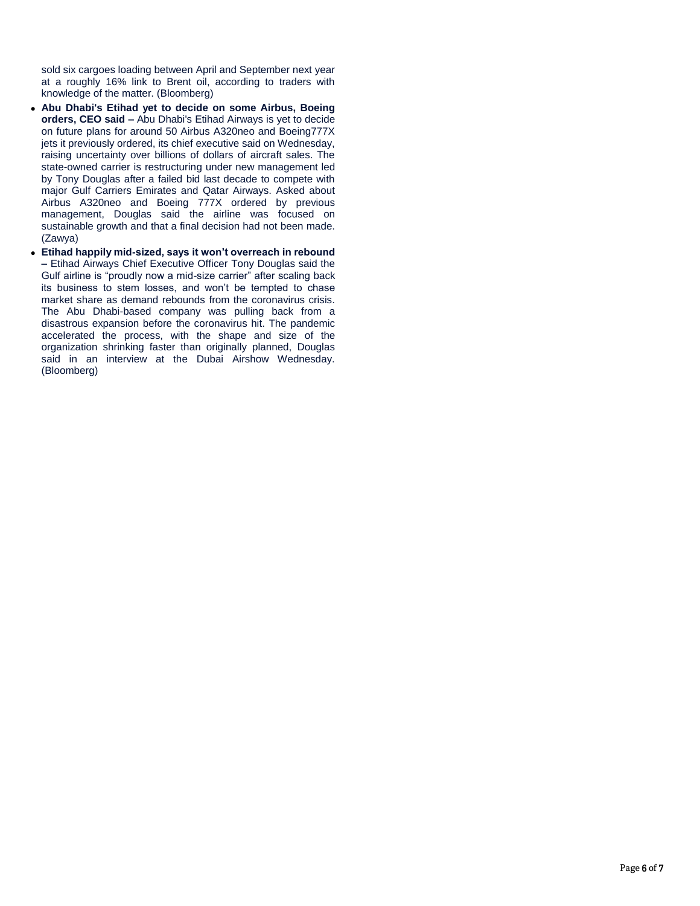sold six cargoes loading between April and September next year at a roughly 16% link to Brent oil, according to traders with knowledge of the matter. (Bloomberg)

- **Abu Dhabi's Etihad yet to decide on some Airbus, Boeing orders, CEO said –** Abu Dhabi's Etihad Airways is yet to decide on future plans for around 50 Airbus A320neo and Boeing777X jets it previously ordered, its chief executive said on Wednesday, raising uncertainty over billions of dollars of aircraft sales. The state-owned carrier is restructuring under new management led by Tony Douglas after a failed bid last decade to compete with major Gulf Carriers Emirates and Qatar Airways. Asked about Airbus A320neo and Boeing 777X ordered by previous management, Douglas said the airline was focused on sustainable growth and that a final decision had not been made. (Zawya)
- **Etihad happily mid-sized, says it won't overreach in rebound –** Etihad Airways Chief Executive Officer Tony Douglas said the Gulf airline is "proudly now a mid-size carrier" after scaling back its business to stem losses, and won't be tempted to chase market share as demand rebounds from the coronavirus crisis. The Abu Dhabi-based company was pulling back from a disastrous expansion before the coronavirus hit. The pandemic accelerated the process, with the shape and size of the organization shrinking faster than originally planned, Douglas said in an interview at the Dubai Airshow Wednesday. (Bloomberg)